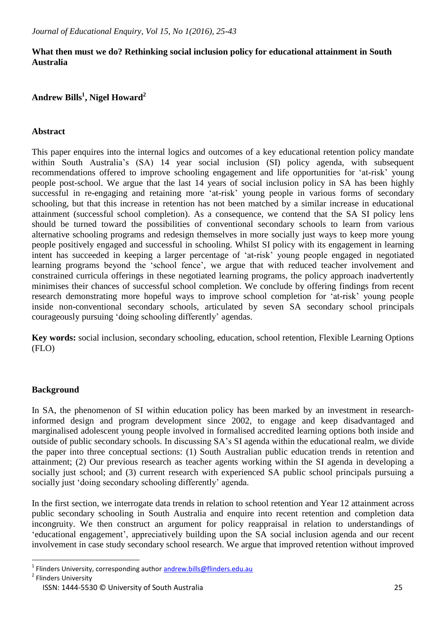### **What then must we do? Rethinking social inclusion policy for educational attainment in South Australia**

# **Andrew Bills<sup>1</sup> , Nigel Howard<sup>2</sup>**

### **Abstract**

This paper enquires into the internal logics and outcomes of a key educational retention policy mandate within South Australia's (SA) 14 year social inclusion (SI) policy agenda, with subsequent recommendations offered to improve schooling engagement and life opportunities for 'at-risk' young people post-school. We argue that the last 14 years of social inclusion policy in SA has been highly successful in re-engaging and retaining more 'at-risk' young people in various forms of secondary schooling, but that this increase in retention has not been matched by a similar increase in educational attainment (successful school completion). As a consequence, we contend that the SA SI policy lens should be turned toward the possibilities of conventional secondary schools to learn from various alternative schooling programs and redesign themselves in more socially just ways to keep more young people positively engaged and successful in schooling. Whilst SI policy with its engagement in learning intent has succeeded in keeping a larger percentage of 'at-risk' young people engaged in negotiated learning programs beyond the 'school fence', we argue that with reduced teacher involvement and constrained curricula offerings in these negotiated learning programs, the policy approach inadvertently minimises their chances of successful school completion. We conclude by offering findings from recent research demonstrating more hopeful ways to improve school completion for 'at-risk' young people inside non-conventional secondary schools, articulated by seven SA secondary school principals courageously pursuing 'doing schooling differently' agendas.

**Key words:** social inclusion, secondary schooling, education, school retention, Flexible Learning Options (FLO)

## **Background**

In SA, the phenomenon of SI within education policy has been marked by an investment in researchinformed design and program development since 2002, to engage and keep disadvantaged and marginalised adolescent young people involved in formalised accredited learning options both inside and outside of public secondary schools. In discussing SA's SI agenda within the educational realm, we divide the paper into three conceptual sections: (1) South Australian public education trends in retention and attainment; (2) Our previous research as teacher agents working within the SI agenda in developing a socially just school; and (3) current research with experienced SA public school principals pursuing a socially just 'doing secondary schooling differently' agenda.

In the first section, we interrogate data trends in relation to school retention and Year 12 attainment across public secondary schooling in South Australia and enquire into recent retention and completion data incongruity. We then construct an argument for policy reappraisal in relation to understandings of 'educational engagement', appreciatively building upon the SA social inclusion agenda and our recent involvement in case study secondary school research. We argue that improved retention without improved

 $\overline{a}$ 

<sup>&</sup>lt;sup>1</sup> Flinders University, corresponding author **andrew.bills@flinders.edu.au** 

<sup>&</sup>lt;sup>2</sup> Flinders University

ISSN: 1444-5530 © University of South Australia 25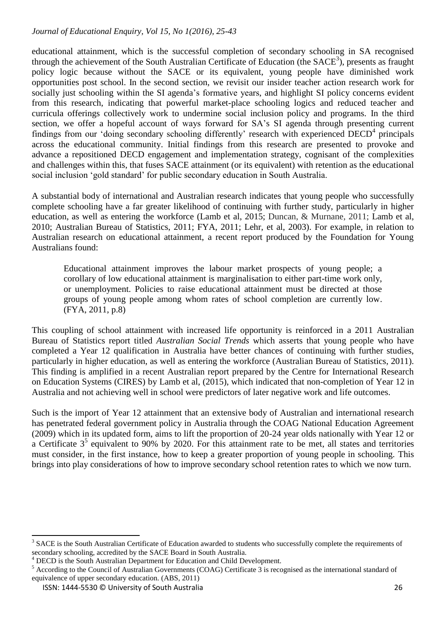educational attainment, which is the successful completion of secondary schooling in SA recognised through the achievement of the South Australian Certificate of Education (the  $SACE<sup>3</sup>$ ), presents as fraught policy logic because without the SACE or its equivalent, young people have diminished work opportunities post school. In the second section, we revisit our insider teacher action research work for socially just schooling within the SI agenda's formative years, and highlight SI policy concerns evident from this research, indicating that powerful market-place schooling logics and reduced teacher and curricula offerings collectively work to undermine social inclusion policy and programs. In the third section, we offer a hopeful account of ways forward for SA's SI agenda through presenting current findings from our 'doing secondary schooling differently' research with experienced DECD<sup>4</sup> principals across the educational community. Initial findings from this research are presented to provoke and advance a repositioned DECD engagement and implementation strategy, cognisant of the complexities and challenges within this, that fuses SACE attainment (or its equivalent) with retention as the educational social inclusion 'gold standard' for public secondary education in South Australia.

A substantial body of international and Australian research indicates that young people who successfully complete schooling have a far greater likelihood of continuing with further study, particularly in higher education, as well as entering the workforce (Lamb et al, 2015; Duncan, & Murnane, 2011; Lamb et al, 2010; Australian Bureau of Statistics, 2011; FYA, 2011; Lehr, et al, 2003). For example, in relation to Australian research on educational attainment, a recent report produced by the Foundation for Young Australians found:

Educational attainment improves the labour market prospects of young people; a corollary of low educational attainment is marginalisation to either part-time work only, or unemployment. Policies to raise educational attainment must be directed at those groups of young people among whom rates of school completion are currently low. (FYA, 2011, p.8)

This coupling of school attainment with increased life opportunity is reinforced in a 2011 Australian Bureau of Statistics report titled *Australian Social Trends* which asserts that young people who have completed a Year 12 qualification in Australia have better chances of continuing with further studies, particularly in higher education, as well as entering the workforce (Australian Bureau of Statistics, 2011). This finding is amplified in a recent Australian report prepared by the Centre for International Research on Education Systems (CIRES) by Lamb et al, (2015), which indicated that non-completion of Year 12 in Australia and not achieving well in school were predictors of later negative work and life outcomes.

Such is the import of Year 12 attainment that an extensive body of Australian and international research has penetrated federal government policy in Australia through the COAG National Education Agreement (2009) which in its updated form, aims to lift the proportion of 20-24 year olds nationally with Year 12 or a Certificate  $3<sup>5</sup>$  equivalent to 90% by 2020. For this attainment rate to be met, all states and territories must consider, in the first instance, how to keep a greater proportion of young people in schooling. This brings into play considerations of how to improve secondary school retention rates to which we now turn.

 $\overline{a}$ 

<sup>&</sup>lt;sup>3</sup> SACE is the South Australian Certificate of Education awarded to students who successfully complete the requirements of secondary schooling, accredited by the SACE Board in South Australia.

<sup>&</sup>lt;sup>4</sup> DECD is the South Australian Department for Education and Child Development.

<sup>&</sup>lt;sup>5</sup> According to the Council of Australian Governments (COAG) Certificate 3 is recognised as the international standard of equivalence of upper secondary education. (ABS, 2011)

ISSN: 1444-5530 © University of South Australia 26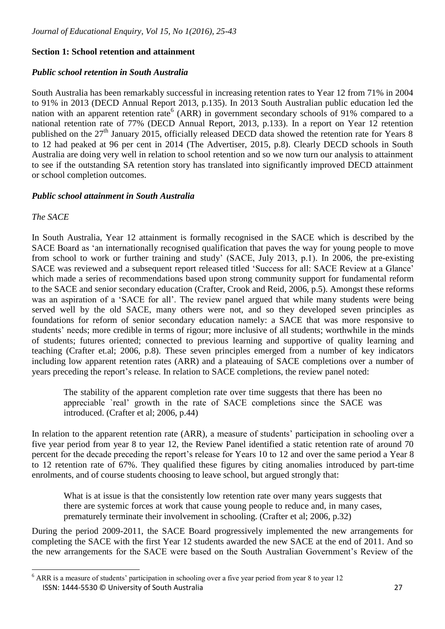# **Section 1: School retention and attainment**

## *Public school retention in South Australia*

South Australia has been remarkably successful in increasing retention rates to Year 12 from 71% in 2004 to 91% in 2013 (DECD Annual Report 2013, p.135). In 2013 South Australian public education led the nation with an apparent retention rate<sup>6</sup> (ARR) in government secondary schools of 91% compared to a national retention rate of 77% (DECD Annual Report, 2013, p.133). In a report on Year 12 retention published on the 27<sup>th</sup> January 2015, officially released DECD data showed the retention rate for Years 8 to 12 had peaked at 96 per cent in 2014 (The Advertiser, 2015, p.8). Clearly DECD schools in South Australia are doing very well in relation to school retention and so we now turn our analysis to attainment to see if the outstanding SA retention story has translated into significantly improved DECD attainment or school completion outcomes.

## *Public school attainment in South Australia*

*The SACE*

 $\overline{a}$ 

In South Australia, Year 12 attainment is formally recognised in the SACE which is described by the SACE Board as 'an internationally recognised qualification that paves the way for young people to move from school to work or further training and study' (SACE, July 2013, p.1). In 2006, the pre-existing SACE was reviewed and a subsequent report released titled 'Success for all: SACE Review at a Glance' which made a series of recommendations based upon strong community support for fundamental reform to the SACE and senior secondary education (Crafter, Crook and Reid, 2006, p.5). Amongst these reforms was an aspiration of a 'SACE for all'. The review panel argued that while many students were being served well by the old SACE, many others were not, and so they developed seven principles as foundations for reform of senior secondary education namely: a SACE that was more responsive to students' needs; more credible in terms of rigour; more inclusive of all students; worthwhile in the minds of students; futures oriented; connected to previous learning and supportive of quality learning and teaching (Crafter et.al; 2006, p.8). These seven principles emerged from a number of key indicators including low apparent retention rates (ARR) and a plateauing of SACE completions over a number of years preceding the report's release. In relation to SACE completions, the review panel noted:

The stability of the apparent completion rate over time suggests that there has been no appreciable `real' growth in the rate of SACE completions since the SACE was introduced. (Crafter et al; 2006, p.44)

In relation to the apparent retention rate (ARR), a measure of students' participation in schooling over a five year period from year 8 to year 12, the Review Panel identified a static retention rate of around 70 percent for the decade preceding the report's release for Years 10 to 12 and over the same period a Year 8 to 12 retention rate of 67%. They qualified these figures by citing anomalies introduced by part-time enrolments, and of course students choosing to leave school, but argued strongly that:

What is at issue is that the consistently low retention rate over many years suggests that there are systemic forces at work that cause young people to reduce and, in many cases, prematurely terminate their involvement in schooling. (Crafter et al; 2006, p.32)

During the period 2009-2011, the SACE Board progressively implemented the new arrangements for completing the SACE with the first Year 12 students awarded the new SACE at the end of 2011. And so the new arrangements for the SACE were based on the South Australian Government's Review of the

ISSN: 1444-5530 © University of South Australia 27  $6$  ARR is a measure of students' participation in schooling over a five year period from year 8 to year 12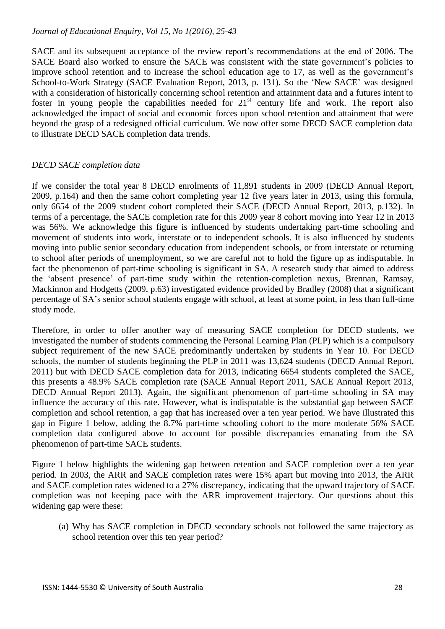SACE and its subsequent acceptance of the review report's recommendations at the end of 2006. The SACE Board also worked to ensure the SACE was consistent with the state government's policies to improve school retention and to increase the school education age to 17, as well as the government's School-to-Work Strategy (SACE Evaluation Report, 2013, p. 131). So the 'New SACE' was designed with a consideration of historically concerning school retention and attainment data and a futures intent to foster in young people the capabilities needed for  $21<sup>st</sup>$  century life and work. The report also acknowledged the impact of social and economic forces upon school retention and attainment that were beyond the grasp of a redesigned official curriculum. We now offer some DECD SACE completion data to illustrate DECD SACE completion data trends.

### *DECD SACE completion data*

If we consider the total year 8 DECD enrolments of 11,891 students in 2009 (DECD Annual Report, 2009, p.164) and then the same cohort completing year 12 five years later in 2013, using this formula, only 6654 of the 2009 student cohort completed their SACE (DECD Annual Report, 2013, p.132). In terms of a percentage, the SACE completion rate for this 2009 year 8 cohort moving into Year 12 in 2013 was 56%. We acknowledge this figure is influenced by students undertaking part-time schooling and movement of students into work, interstate or to independent schools. It is also influenced by students moving into public senior secondary education from independent schools, or from interstate or returning to school after periods of unemployment, so we are careful not to hold the figure up as indisputable. In fact the phenomenon of part-time schooling is significant in SA. A research study that aimed to address the 'absent presence' of part-time study within the retention-completion nexus, Brennan, Ramsay, Mackinnon and Hodgetts (2009, p.63) investigated evidence provided by Bradley (2008) that a significant percentage of SA's senior school students engage with school, at least at some point, in less than full-time study mode.

Therefore, in order to offer another way of measuring SACE completion for DECD students, we investigated the number of students commencing the Personal Learning Plan (PLP) which is a compulsory subject requirement of the new SACE predominantly undertaken by students in Year 10. For DECD schools, the number of students beginning the PLP in 2011 was 13,624 students (DECD Annual Report, 2011) but with DECD SACE completion data for 2013, indicating 6654 students completed the SACE, this presents a 48.9% SACE completion rate (SACE Annual Report 2011, SACE Annual Report 2013, DECD Annual Report 2013). Again, the significant phenomenon of part-time schooling in SA may influence the accuracy of this rate. However, what is indisputable is the substantial gap between SACE completion and school retention, a gap that has increased over a ten year period. We have illustrated this gap in Figure 1 below, adding the 8.7% part-time schooling cohort to the more moderate 56% SACE completion data configured above to account for possible discrepancies emanating from the SA phenomenon of part-time SACE students.

Figure 1 below highlights the widening gap between retention and SACE completion over a ten year period. In 2003, the ARR and SACE completion rates were 15% apart but moving into 2013, the ARR and SACE completion rates widened to a 27% discrepancy, indicating that the upward trajectory of SACE completion was not keeping pace with the ARR improvement trajectory. Our questions about this widening gap were these:

(a) Why has SACE completion in DECD secondary schools not followed the same trajectory as school retention over this ten year period?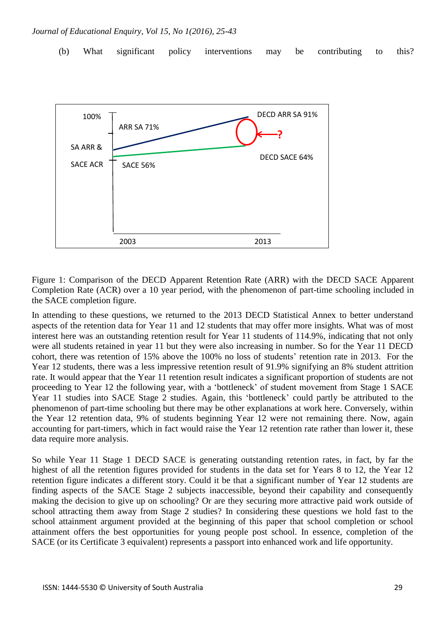(b) What significant policy interventions may be contributing to this?



Figure 1: Comparison of the DECD Apparent Retention Rate (ARR) with the DECD SACE Apparent Completion Rate (ACR) over a 10 year period, with the phenomenon of part-time schooling included in the SACE completion figure.

In attending to these questions, we returned to the 2013 DECD Statistical Annex to better understand aspects of the retention data for Year 11 and 12 students that may offer more insights. What was of most interest here was an outstanding retention result for Year 11 students of 114.9%, indicating that not only were all students retained in year 11 but they were also increasing in number. So for the Year 11 DECD cohort, there was retention of 15% above the 100% no loss of students' retention rate in 2013. For the Year 12 students, there was a less impressive retention result of 91.9% signifying an 8% student attrition rate. It would appear that the Year 11 retention result indicates a significant proportion of students are not proceeding to Year 12 the following year, with a 'bottleneck' of student movement from Stage 1 SACE Year 11 studies into SACE Stage 2 studies. Again, this 'bottleneck' could partly be attributed to the phenomenon of part-time schooling but there may be other explanations at work here. Conversely, within the Year 12 retention data, 9% of students beginning Year 12 were not remaining there. Now, again accounting for part-timers, which in fact would raise the Year 12 retention rate rather than lower it, these data require more analysis.

So while Year 11 Stage 1 DECD SACE is generating outstanding retention rates, in fact, by far the highest of all the retention figures provided for students in the data set for Years 8 to 12, the Year 12 retention figure indicates a different story. Could it be that a significant number of Year 12 students are finding aspects of the SACE Stage 2 subjects inaccessible, beyond their capability and consequently making the decision to give up on schooling? Or are they securing more attractive paid work outside of school attracting them away from Stage 2 studies? In considering these questions we hold fast to the school attainment argument provided at the beginning of this paper that school completion or school attainment offers the best opportunities for young people post school. In essence, completion of the SACE (or its Certificate 3 equivalent) represents a passport into enhanced work and life opportunity.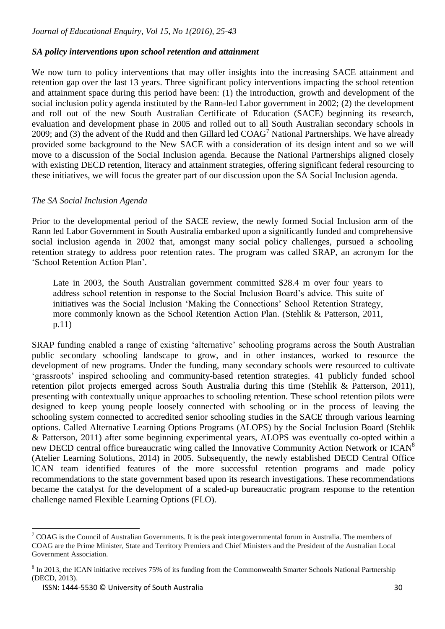#### *SA policy interventions upon school retention and attainment*

We now turn to policy interventions that may offer insights into the increasing SACE attainment and retention gap over the last 13 years. Three significant policy interventions impacting the school retention and attainment space during this period have been: (1) the introduction, growth and development of the social inclusion policy agenda instituted by the Rann-led Labor government in 2002; (2) the development and roll out of the new South Australian Certificate of Education (SACE) beginning its research, evaluation and development phase in 2005 and rolled out to all South Australian secondary schools in 2009; and (3) the advent of the Rudd and then Gillard led  $COAG<sup>7</sup>$  National Partnerships. We have already provided some background to the New SACE with a consideration of its design intent and so we will move to a discussion of the Social Inclusion agenda. Because the National Partnerships aligned closely with existing DECD retention, literacy and attainment strategies, offering significant federal resourcing to these initiatives, we will focus the greater part of our discussion upon the SA Social Inclusion agenda.

#### *The SA Social Inclusion Agenda*

Prior to the developmental period of the SACE review, the newly formed Social Inclusion arm of the Rann led Labor Government in South Australia embarked upon a significantly funded and comprehensive social inclusion agenda in 2002 that, amongst many social policy challenges, pursued a schooling retention strategy to address poor retention rates. The program was called SRAP, an acronym for the 'School Retention Action Plan'.

Late in 2003, the South Australian government committed \$28.4 m over four years to address school retention in response to the Social Inclusion Board's advice. This suite of initiatives was the Social Inclusion 'Making the Connections' School Retention Strategy, more commonly known as the School Retention Action Plan. (Stehlik & Patterson, 2011, p.11)

SRAP funding enabled a range of existing 'alternative' schooling programs across the South Australian public secondary schooling landscape to grow, and in other instances, worked to resource the development of new programs. Under the funding, many secondary schools were resourced to cultivate 'grassroots' inspired schooling and community-based retention strategies. 41 publicly funded school retention pilot projects emerged across South Australia during this time (Stehlik & Patterson, 2011), presenting with contextually unique approaches to schooling retention. These school retention pilots were designed to keep young people loosely connected with schooling or in the process of leaving the schooling system connected to accredited senior schooling studies in the SACE through various learning options. Called Alternative Learning Options Programs (ALOPS) by the Social Inclusion Board (Stehlik & Patterson, 2011) after some beginning experimental years, ALOPS was eventually co-opted within a new DECD central office bureaucratic wing called the Innovative Community Action Network or ICAN<sup>8</sup> (Atelier Learning Solutions, 2014) in 2005. Subsequently, the newly established DECD Central Office ICAN team identified features of the more successful retention programs and made policy recommendations to the state government based upon its research investigations. These recommendations became the catalyst for the development of a scaled-up bureaucratic program response to the retention challenge named Flexible Learning Options (FLO).

 $\overline{a}$  $7 \text{COAG}$  is the Council of Australian Governments. It is the peak intergovernmental forum in Australia. The members of COAG are the Prime Minister, State and Territory Premiers and Chief Ministers and the President of the Australian Local Government Association.

 $8 \text{ In } 2013$ , the ICAN initiative receives 75% of its funding from the Commonwealth Smarter Schools National Partnership (DECD, 2013).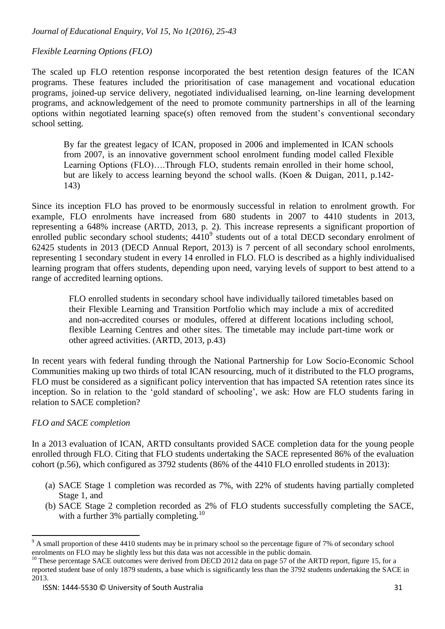### *Flexible Learning Options (FLO)*

The scaled up FLO retention response incorporated the best retention design features of the ICAN programs. These features included the prioritisation of case management and vocational education programs, joined-up service delivery, negotiated individualised learning, on-line learning development programs, and acknowledgement of the need to promote community partnerships in all of the learning options within negotiated learning space(s) often removed from the student's conventional secondary school setting.

By far the greatest legacy of ICAN, proposed in 2006 and implemented in ICAN schools from 2007, is an innovative government school enrolment funding model called Flexible Learning Options (FLO)….Through FLO, students remain enrolled in their home school, but are likely to access learning beyond the school walls. (Koen & Duigan, 2011, p.142- 143)

Since its inception FLO has proved to be enormously successful in relation to enrolment growth. For example, FLO enrolments have increased from 680 students in 2007 to 4410 students in 2013, representing a 648% increase (ARTD, 2013, p. 2). This increase represents a significant proportion of enrolled public secondary school students;  $4410<sup>9</sup>$  students out of a total DECD secondary enrolment of 62425 students in 2013 (DECD Annual Report, 2013) is 7 percent of all secondary school enrolments, representing 1 secondary student in every 14 enrolled in FLO. FLO is described as a highly individualised learning program that offers students, depending upon need, varying levels of support to best attend to a range of accredited learning options.

FLO enrolled students in secondary school have individually tailored timetables based on their Flexible Learning and Transition Portfolio which may include a mix of accredited and non-accredited courses or modules, offered at different locations including school, flexible Learning Centres and other sites. The timetable may include part-time work or other agreed activities. (ARTD, 2013, p.43)

In recent years with federal funding through the National Partnership for Low Socio-Economic School Communities making up two thirds of total ICAN resourcing, much of it distributed to the FLO programs, FLO must be considered as a significant policy intervention that has impacted SA retention rates since its inception. So in relation to the 'gold standard of schooling', we ask: How are FLO students faring in relation to SACE completion?

## *FLO and SACE completion*

In a 2013 evaluation of ICAN, ARTD consultants provided SACE completion data for the young people enrolled through FLO. Citing that FLO students undertaking the SACE represented 86% of the evaluation cohort (p.56), which configured as 3792 students (86% of the 4410 FLO enrolled students in 2013):

- (a) SACE Stage 1 completion was recorded as 7%, with 22% of students having partially completed Stage 1, and
- (b) SACE Stage 2 completion recorded as 2% of FLO students successfully completing the SACE, with a further 3% partially completing.<sup>10</sup>

 $\overline{a}$  $9<sup>9</sup>$  A small proportion of these 4410 students may be in primary school so the percentage figure of 7% of secondary school enrolments on FLO may be slightly less but this data was not accessible in the public domain.

<sup>&</sup>lt;sup>10</sup> These percentage SACE outcomes were derived from DECD 2012 data on page 57 of the ARTD report, figure 15, for a reported student base of only 1879 students, a base which is significantly less than the 3792 students undertaking the SACE in 2013.

ISSN: 1444-5530 © University of South Australia 31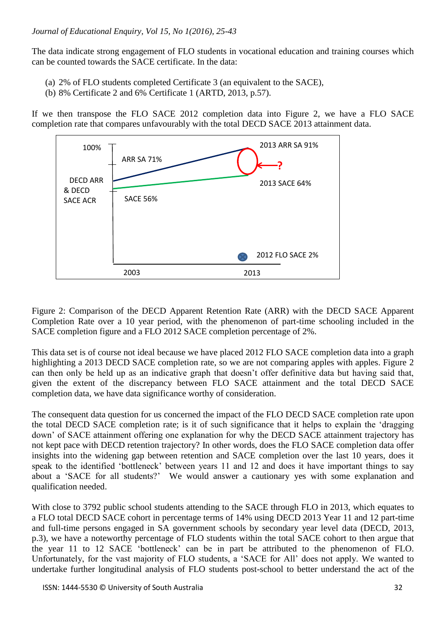The data indicate strong engagement of FLO students in vocational education and training courses which can be counted towards the SACE certificate. In the data:

- (a) 2% of FLO students completed Certificate 3 (an equivalent to the SACE),
- (b) 8% Certificate 2 and 6% Certificate 1 (ARTD, 2013, p.57).

If we then transpose the FLO SACE 2012 completion data into Figure 2, we have a FLO SACE completion rate that compares unfavourably with the total DECD SACE 2013 attainment data.



Figure 2: Comparison of the DECD Apparent Retention Rate (ARR) with the DECD SACE Apparent Completion Rate over a 10 year period, with the phenomenon of part-time schooling included in the SACE completion figure and a FLO 2012 SACE completion percentage of 2%.

This data set is of course not ideal because we have placed 2012 FLO SACE completion data into a graph highlighting a 2013 DECD SACE completion rate, so we are not comparing apples with apples. Figure 2 can then only be held up as an indicative graph that doesn't offer definitive data but having said that, given the extent of the discrepancy between FLO SACE attainment and the total DECD SACE completion data, we have data significance worthy of consideration.

The consequent data question for us concerned the impact of the FLO DECD SACE completion rate upon the total DECD SACE completion rate; is it of such significance that it helps to explain the 'dragging down' of SACE attainment offering one explanation for why the DECD SACE attainment trajectory has not kept pace with DECD retention trajectory? In other words, does the FLO SACE completion data offer insights into the widening gap between retention and SACE completion over the last 10 years, does it speak to the identified 'bottleneck' between years 11 and 12 and does it have important things to say about a 'SACE for all students?' We would answer a cautionary yes with some explanation and qualification needed.

With close to 3792 public school students attending to the SACE through FLO in 2013, which equates to a FLO total DECD SACE cohort in percentage terms of 14% using DECD 2013 Year 11 and 12 part-time and full-time persons engaged in SA government schools by secondary year level data (DECD, 2013, p.3), we have a noteworthy percentage of FLO students within the total SACE cohort to then argue that the year 11 to 12 SACE 'bottleneck' can be in part be attributed to the phenomenon of FLO. Unfortunately, for the vast majority of FLO students, a 'SACE for All' does not apply. We wanted to undertake further longitudinal analysis of FLO students post-school to better understand the act of the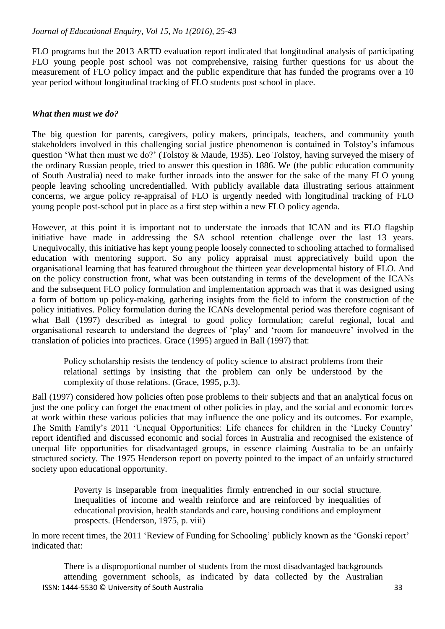FLO programs but the 2013 ARTD evaluation report indicated that longitudinal analysis of participating FLO young people post school was not comprehensive, raising further questions for us about the measurement of FLO policy impact and the public expenditure that has funded the programs over a 10 year period without longitudinal tracking of FLO students post school in place.

# *What then must we do?*

The big question for parents, caregivers, policy makers, principals, teachers, and community youth stakeholders involved in this challenging social justice phenomenon is contained in Tolstoy's infamous question 'What then must we do?' (Tolstoy & Maude, 1935). Leo Tolstoy, having surveyed the misery of the ordinary Russian people, tried to answer this question in 1886. We (the public education community of South Australia) need to make further inroads into the answer for the sake of the many FLO young people leaving schooling uncredentialled. With publicly available data illustrating serious attainment concerns, we argue policy re-appraisal of FLO is urgently needed with longitudinal tracking of FLO young people post-school put in place as a first step within a new FLO policy agenda.

However, at this point it is important not to understate the inroads that ICAN and its FLO flagship initiative have made in addressing the SA school retention challenge over the last 13 years. Unequivocally, this initiative has kept young people loosely connected to schooling attached to formalised education with mentoring support. So any policy appraisal must appreciatively build upon the organisational learning that has featured throughout the thirteen year developmental history of FLO. And on the policy construction front, what was been outstanding in terms of the development of the ICANs and the subsequent FLO policy formulation and implementation approach was that it was designed using a form of bottom up policy-making, gathering insights from the field to inform the construction of the policy initiatives. Policy formulation during the ICANs developmental period was therefore cognisant of what Ball (1997) described as integral to good policy formulation; careful regional, local and organisational research to understand the degrees of 'play' and 'room for manoeuvre' involved in the translation of policies into practices. Grace (1995) argued in Ball (1997) that:

Policy scholarship resists the tendency of policy science to abstract problems from their relational settings by insisting that the problem can only be understood by the complexity of those relations. (Grace, 1995, p.3).

Ball (1997) considered how policies often pose problems to their subjects and that an analytical focus on just the one policy can forget the enactment of other policies in play, and the social and economic forces at work within these various policies that may influence the one policy and its outcomes. For example, The Smith Family's 2011 'Unequal Opportunities: Life chances for children in the 'Lucky Country' report identified and discussed economic and social forces in Australia and recognised the existence of unequal life opportunities for disadvantaged groups, in essence claiming Australia to be an unfairly structured society. The 1975 Henderson report on poverty pointed to the impact of an unfairly structured society upon educational opportunity.

> Poverty is inseparable from inequalities firmly entrenched in our social structure. Inequalities of income and wealth reinforce and are reinforced by inequalities of educational provision, health standards and care, housing conditions and employment prospects. (Henderson, 1975, p. viii)

In more recent times, the 2011 'Review of Funding for Schooling' publicly known as the 'Gonski report' indicated that:

ISSN: 1444-5530 © University of South Australia 33 There is a disproportional number of students from the most disadvantaged backgrounds attending government schools, as indicated by data collected by the Australian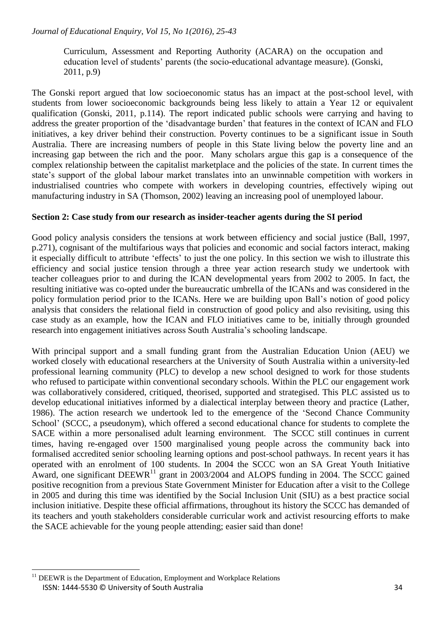Curriculum, Assessment and Reporting Authority (ACARA) on the occupation and education level of students' parents (the socio-educational advantage measure). (Gonski, 2011, p.9)

The Gonski report argued that low socioeconomic status has an impact at the post-school level, with students from lower socioeconomic backgrounds being less likely to attain a Year 12 or equivalent qualification (Gonski, 2011, p.114). The report indicated public schools were carrying and having to address the greater proportion of the 'disadvantage burden' that features in the context of ICAN and FLO initiatives, a key driver behind their construction. Poverty continues to be a significant issue in South Australia. There are increasing numbers of people in this State living below the poverty line and an increasing gap between the rich and the poor. Many scholars argue this gap is a consequence of the complex relationship between the capitalist marketplace and the policies of the state. In current times the state's support of the global labour market translates into an unwinnable competition with workers in industrialised countries who compete with workers in developing countries, effectively wiping out manufacturing industry in SA (Thomson, 2002) leaving an increasing pool of unemployed labour.

## **Section 2: Case study from our research as insider-teacher agents during the SI period**

Good policy analysis considers the tensions at work between efficiency and social justice (Ball, 1997, p.271), cognisant of the multifarious ways that policies and economic and social factors interact, making it especially difficult to attribute 'effects' to just the one policy. In this section we wish to illustrate this efficiency and social justice tension through a three year action research study we undertook with teacher colleagues prior to and during the ICAN developmental years from 2002 to 2005. In fact, the resulting initiative was co-opted under the bureaucratic umbrella of the ICANs and was considered in the policy formulation period prior to the ICANs. Here we are building upon Ball's notion of good policy analysis that considers the relational field in construction of good policy and also revisiting, using this case study as an example, how the ICAN and FLO initiatives came to be, initially through grounded research into engagement initiatives across South Australia's schooling landscape.

With principal support and a small funding grant from the Australian Education Union (AEU) we worked closely with educational researchers at the University of South Australia within a university-led professional learning community (PLC) to develop a new school designed to work for those students who refused to participate within conventional secondary schools. Within the PLC our engagement work was collaboratively considered, critiqued, theorised, supported and strategised. This PLC assisted us to develop educational initiatives informed by a dialectical interplay between theory and practice (Lather, 1986). The action research we undertook led to the emergence of the 'Second Chance Community School' (SCCC, a pseudonym), which offered a second educational chance for students to complete the SACE within a more personalised adult learning environment. The SCCC still continues in current times, having re-engaged over 1500 marginalised young people across the community back into formalised accredited senior schooling learning options and post-school pathways. In recent years it has operated with an enrolment of 100 students. In 2004 the SCCC won an SA Great Youth Initiative Award, one significant DEEWR<sup>11</sup> grant in 2003/2004 and ALOPS funding in 2004. The SCCC gained positive recognition from a previous State Government Minister for Education after a visit to the College in 2005 and during this time was identified by the Social Inclusion Unit (SIU) as a best practice social inclusion initiative. Despite these official affirmations, throughout its history the SCCC has demanded of its teachers and youth stakeholders considerable curricular work and activist resourcing efforts to make the SACE achievable for the young people attending; easier said than done!

 $\overline{a}$ 

ISSN: 1444-5530 © University of South Australia 34 <sup>11</sup> DEEWR is the Department of Education, Employment and Workplace Relations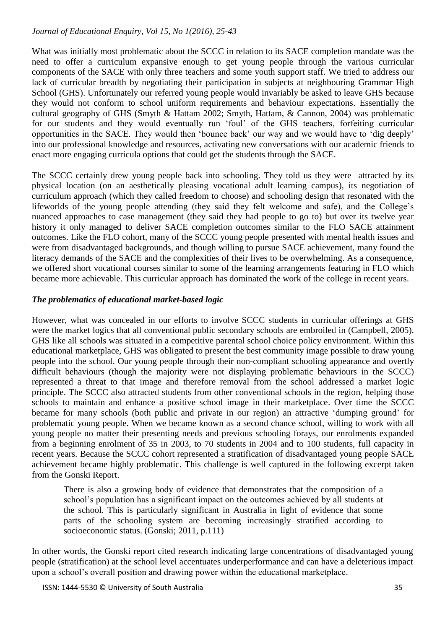What was initially most problematic about the SCCC in relation to its SACE completion mandate was the need to offer a curriculum expansive enough to get young people through the various curricular components of the SACE with only three teachers and some youth support staff. We tried to address our lack of curricular breadth by negotiating their participation in subjects at neighbouring Grammar High School (GHS). Unfortunately our referred young people would invariably be asked to leave GHS because they would not conform to school uniform requirements and behaviour expectations. Essentially the cultural geography of GHS (Smyth & Hattam 2002; Smyth, Hattam, & Cannon, 2004) was problematic for our students and they would eventually run 'foul' of the GHS teachers, forfeiting curricular opportunities in the SACE. They would then 'bounce back' our way and we would have to 'dig deeply' into our professional knowledge and resources, activating new conversations with our academic friends to enact more engaging curricula options that could get the students through the SACE.

The SCCC certainly drew young people back into schooling. They told us they were attracted by its physical location (on an aesthetically pleasing vocational adult learning campus), its negotiation of curriculum approach (which they called freedom to choose) and schooling design that resonated with the lifeworlds of the young people attending (they said they felt welcome and safe), and the College's nuanced approaches to case management (they said they had people to go to) but over its twelve year history it only managed to deliver SACE completion outcomes similar to the FLO SACE attainment outcomes. Like the FLO cohort, many of the SCCC young people presented with mental health issues and were from disadvantaged backgrounds, and though willing to pursue SACE achievement, many found the literacy demands of the SACE and the complexities of their lives to be overwhelming. As a consequence, we offered short vocational courses similar to some of the learning arrangements featuring in FLO which became more achievable. This curricular approach has dominated the work of the college in recent years.

### *The problematics of educational market-based logic*

However, what was concealed in our efforts to involve SCCC students in curricular offerings at GHS were the market logics that all conventional public secondary schools are embroiled in (Campbell, 2005). GHS like all schools was situated in a competitive parental school choice policy environment. Within this educational marketplace, GHS was obligated to present the best community image possible to draw young people into the school. Our young people through their non-compliant schooling appearance and overtly difficult behaviours (though the majority were not displaying problematic behaviours in the SCCC) represented a threat to that image and therefore removal from the school addressed a market logic principle. The SCCC also attracted students from other conventional schools in the region, helping those schools to maintain and enhance a positive school image in their marketplace. Over time the SCCC became for many schools (both public and private in our region) an attractive 'dumping ground' for problematic young people. When we became known as a second chance school, willing to work with all young people no matter their presenting needs and previous schooling forays, our enrolments expanded from a beginning enrolment of 35 in 2003, to 70 students in 2004 and to 100 students, full capacity in recent years. Because the SCCC cohort represented a stratification of disadvantaged young people SACE achievement became highly problematic. This challenge is well captured in the following excerpt taken from the Gonski Report.

There is also a growing body of evidence that demonstrates that the composition of a school's population has a significant impact on the outcomes achieved by all students at the school. This is particularly significant in Australia in light of evidence that some parts of the schooling system are becoming increasingly stratified according to socioeconomic status. (Gonski; 2011, p.111)

In other words, the Gonski report cited research indicating large concentrations of disadvantaged young people (stratification) at the school level accentuates underperformance and can have a deleterious impact upon a school's overall position and drawing power within the educational marketplace.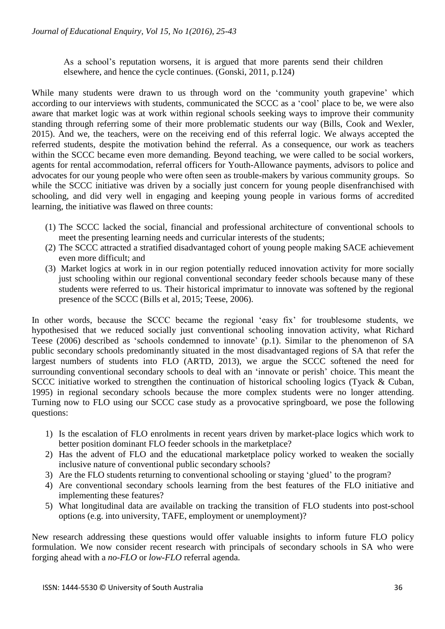As a school's reputation worsens, it is argued that more parents send their children elsewhere, and hence the cycle continues. (Gonski, 2011, p.124)

While many students were drawn to us through word on the 'community youth grapevine' which according to our interviews with students, communicated the SCCC as a 'cool' place to be, we were also aware that market logic was at work within regional schools seeking ways to improve their community standing through referring some of their more problematic students our way (Bills, Cook and Wexler, 2015). And we, the teachers, were on the receiving end of this referral logic. We always accepted the referred students, despite the motivation behind the referral. As a consequence, our work as teachers within the SCCC became even more demanding. Beyond teaching, we were called to be social workers, agents for rental accommodation, referral officers for Youth-Allowance payments, advisors to police and advocates for our young people who were often seen as trouble-makers by various community groups. So while the SCCC initiative was driven by a socially just concern for young people disenfranchised with schooling, and did very well in engaging and keeping young people in various forms of accredited learning, the initiative was flawed on three counts:

- (1) The SCCC lacked the social, financial and professional architecture of conventional schools to meet the presenting learning needs and curricular interests of the students;
- (2) The SCCC attracted a stratified disadvantaged cohort of young people making SACE achievement even more difficult; and
- (3) Market logics at work in in our region potentially reduced innovation activity for more socially just schooling within our regional conventional secondary feeder schools because many of these students were referred to us. Their historical imprimatur to innovate was softened by the regional presence of the SCCC (Bills et al, 2015; Teese, 2006).

In other words, because the SCCC became the regional 'easy fix' for troublesome students, we hypothesised that we reduced socially just conventional schooling innovation activity, what Richard Teese (2006) described as 'schools condemned to innovate' (p.1). Similar to the phenomenon of SA public secondary schools predominantly situated in the most disadvantaged regions of SA that refer the largest numbers of students into FLO (ARTD, 2013), we argue the SCCC softened the need for surrounding conventional secondary schools to deal with an 'innovate or perish' choice. This meant the SCCC initiative worked to strengthen the continuation of historical schooling logics (Tyack & Cuban, 1995) in regional secondary schools because the more complex students were no longer attending. Turning now to FLO using our SCCC case study as a provocative springboard, we pose the following questions:

- 1) Is the escalation of FLO enrolments in recent years driven by market-place logics which work to better position dominant FLO feeder schools in the marketplace?
- 2) Has the advent of FLO and the educational marketplace policy worked to weaken the socially inclusive nature of conventional public secondary schools?
- 3) Are the FLO students returning to conventional schooling or staying 'glued' to the program?
- 4) Are conventional secondary schools learning from the best features of the FLO initiative and implementing these features?
- 5) What longitudinal data are available on tracking the transition of FLO students into post-school options (e.g. into university, TAFE, employment or unemployment)?

New research addressing these questions would offer valuable insights to inform future FLO policy formulation. We now consider recent research with principals of secondary schools in SA who were forging ahead with a *no-FLO* or *low-FLO* referral agenda.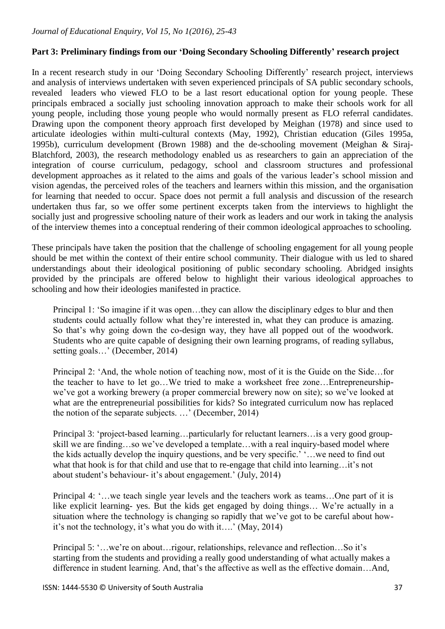# **Part 3: Preliminary findings from our 'Doing Secondary Schooling Differently' research project**

In a recent research study in our 'Doing Secondary Schooling Differently' research project, interviews and analysis of interviews undertaken with seven experienced principals of SA public secondary schools, revealed leaders who viewed FLO to be a last resort educational option for young people. These principals embraced a socially just schooling innovation approach to make their schools work for all young people, including those young people who would normally present as FLO referral candidates. Drawing upon the component theory approach first developed by Meighan (1978) and since used to articulate ideologies within multi-cultural contexts (May, 1992), Christian education (Giles 1995a, 1995b), curriculum development (Brown 1988) and the de-schooling movement (Meighan & Siraj-Blatchford, 2003), the research methodology enabled us as researchers to gain an appreciation of the integration of course curriculum, pedagogy, school and classroom structures and professional development approaches as it related to the aims and goals of the various leader's school mission and vision agendas, the perceived roles of the teachers and learners within this mission, and the organisation for learning that needed to occur. Space does not permit a full analysis and discussion of the research undertaken thus far, so we offer some pertinent excerpts taken from the interviews to highlight the socially just and progressive schooling nature of their work as leaders and our work in taking the analysis of the interview themes into a conceptual rendering of their common ideological approaches to schooling.

These principals have taken the position that the challenge of schooling engagement for all young people should be met within the context of their entire school community. Their dialogue with us led to shared understandings about their ideological positioning of public secondary schooling. Abridged insights provided by the principals are offered below to highlight their various ideological approaches to schooling and how their ideologies manifested in practice.

Principal 1: 'So imagine if it was open…they can allow the disciplinary edges to blur and then students could actually follow what they're interested in, what they can produce is amazing. So that's why going down the co-design way, they have all popped out of the woodwork. Students who are quite capable of designing their own learning programs, of reading syllabus, setting goals…' (December, 2014)

Principal 2: 'And, the whole notion of teaching now, most of it is the Guide on the Side…for the teacher to have to let go…We tried to make a worksheet free zone…Entrepreneurshipwe've got a working brewery (a proper commercial brewery now on site); so we've looked at what are the entrepreneurial possibilities for kids? So integrated curriculum now has replaced the notion of the separate subjects. …' (December, 2014)

Principal 3: 'project-based learning…particularly for reluctant learners…is a very good groupskill we are finding…so we've developed a template…with a real inquiry-based model where the kids actually develop the inquiry questions, and be very specific.' '…we need to find out what that hook is for that child and use that to re-engage that child into learning...it's not about student's behaviour- it's about engagement.' (July, 2014)

Principal 4: '…we teach single year levels and the teachers work as teams…One part of it is like explicit learning- yes. But the kids get engaged by doing things… We're actually in a situation where the technology is changing so rapidly that we've got to be careful about howit's not the technology, it's what you do with it….' (May, 2014)

Principal 5: '…we're on about…rigour, relationships, relevance and reflection…So it's starting from the students and providing a really good understanding of what actually makes a difference in student learning. And, that's the affective as well as the effective domain…And,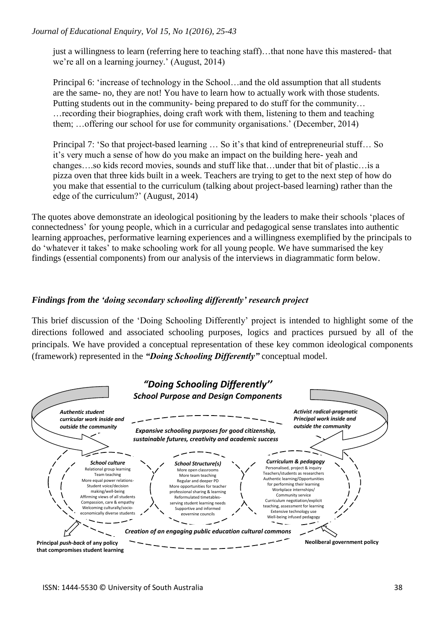just a willingness to learn (referring here to teaching staff)…that none have this mastered- that we're all on a learning journey.' (August, 2014)

Principal 6: 'increase of technology in the School…and the old assumption that all students are the same- no, they are not! You have to learn how to actually work with those students. Putting students out in the community- being prepared to do stuff for the community… …recording their biographies, doing craft work with them, listening to them and teaching them; …offering our school for use for community organisations.' (December, 2014)

Principal 7: 'So that project-based learning … So it's that kind of entrepreneurial stuff… So it's very much a sense of how do you make an impact on the building here- yeah and changes….so kids record movies, sounds and stuff like that…under that bit of plastic…is a pizza oven that three kids built in a week. Teachers are trying to get to the next step of how do you make that essential to the curriculum (talking about project-based learning) rather than the edge of the curriculum?' (August, 2014)

The quotes above demonstrate an ideological positioning by the leaders to make their schools 'places of connectedness' for young people, which in a curricular and pedagogical sense translates into authentic learning approaches, performative learning experiences and a willingness exemplified by the principals to do 'whatever it takes' to make schooling work for all young people. We have summarised the key findings (essential components) from our analysis of the interviews in diagrammatic form below.

# *Findings from the 'doing secondary schooling differently' research project*

This brief discussion of the 'Doing Schooling Differently' project is intended to highlight some of the directions followed and associated schooling purposes, logics and practices pursued by all of the principals. We have provided a conceptual representation of these key common ideological components (framework) represented in the *"Doing Schooling Differently"* conceptual model.

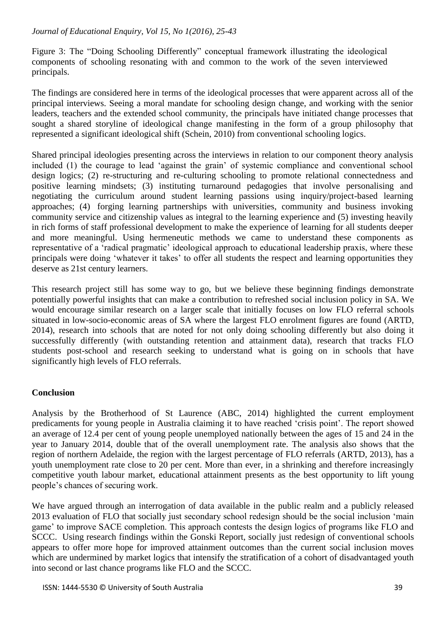Figure 3: The "Doing Schooling Differently" conceptual framework illustrating the ideological components of schooling resonating with and common to the work of the seven interviewed principals.

The findings are considered here in terms of the ideological processes that were apparent across all of the principal interviews. Seeing a moral mandate for schooling design change, and working with the senior leaders, teachers and the extended school community, the principals have initiated change processes that sought a shared storyline of ideological change manifesting in the form of a group philosophy that represented a significant ideological shift (Schein, 2010) from conventional schooling logics.

Shared principal ideologies presenting across the interviews in relation to our component theory analysis included (1) the courage to lead 'against the grain' of systemic compliance and conventional school design logics; (2) re-structuring and re-culturing schooling to promote relational connectedness and positive learning mindsets; (3) instituting turnaround pedagogies that involve personalising and negotiating the curriculum around student learning passions using inquiry/project-based learning approaches; (4) forging learning partnerships with universities, community and business invoking community service and citizenship values as integral to the learning experience and (5) investing heavily in rich forms of staff professional development to make the experience of learning for all students deeper and more meaningful. Using hermeneutic methods we came to understand these components as representative of a 'radical pragmatic' ideological approach to educational leadership praxis, where these principals were doing 'whatever it takes' to offer all students the respect and learning opportunities they deserve as 21st century learners.

This research project still has some way to go, but we believe these beginning findings demonstrate potentially powerful insights that can make a contribution to refreshed social inclusion policy in SA. We would encourage similar research on a larger scale that initially focuses on low FLO referral schools situated in low-socio-economic areas of SA where the largest FLO enrolment figures are found (ARTD, 2014), research into schools that are noted for not only doing schooling differently but also doing it successfully differently (with outstanding retention and attainment data), research that tracks FLO students post-school and research seeking to understand what is going on in schools that have significantly high levels of FLO referrals.

## **Conclusion**

Analysis by the Brotherhood of St Laurence (ABC, 2014) highlighted the current employment predicaments for young people in Australia claiming it to have reached 'crisis point'. The report showed an average of 12.4 per cent of young people unemployed nationally between the ages of 15 and 24 in the year to January 2014, double that of the overall unemployment rate. The analysis also shows that the region of northern Adelaide, the region with the largest percentage of FLO referrals (ARTD, 2013), has a youth unemployment rate close to 20 per cent. More than ever, in a shrinking and therefore increasingly competitive youth labour market, educational attainment presents as the best opportunity to lift young people's chances of securing work.

We have argued through an interrogation of data available in the public realm and a publicly released 2013 evaluation of FLO that socially just secondary school redesign should be the social inclusion 'main game' to improve SACE completion. This approach contests the design logics of programs like FLO and SCCC. Using research findings within the Gonski Report, socially just redesign of conventional schools appears to offer more hope for improved attainment outcomes than the current social inclusion moves which are undermined by market logics that intensify the stratification of a cohort of disadvantaged youth into second or last chance programs like FLO and the SCCC.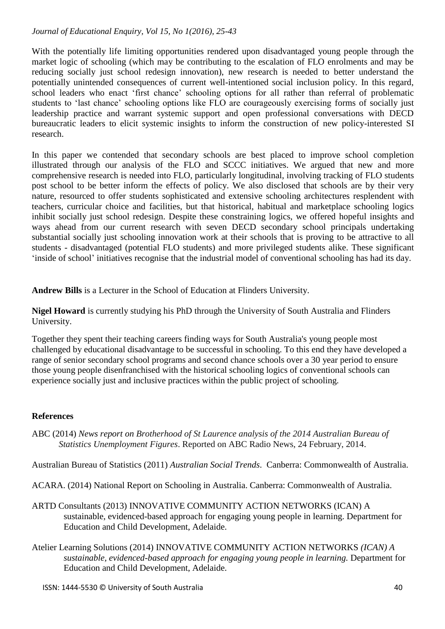With the potentially life limiting opportunities rendered upon disadvantaged young people through the market logic of schooling (which may be contributing to the escalation of FLO enrolments and may be reducing socially just school redesign innovation), new research is needed to better understand the potentially unintended consequences of current well-intentioned social inclusion policy. In this regard, school leaders who enact 'first chance' schooling options for all rather than referral of problematic students to 'last chance' schooling options like FLO are courageously exercising forms of socially just leadership practice and warrant systemic support and open professional conversations with DECD bureaucratic leaders to elicit systemic insights to inform the construction of new policy-interested SI research.

In this paper we contended that secondary schools are best placed to improve school completion illustrated through our analysis of the FLO and SCCC initiatives. We argued that new and more comprehensive research is needed into FLO, particularly longitudinal, involving tracking of FLO students post school to be better inform the effects of policy. We also disclosed that schools are by their very nature, resourced to offer students sophisticated and extensive schooling architectures resplendent with teachers, curricular choice and facilities, but that historical, habitual and marketplace schooling logics inhibit socially just school redesign. Despite these constraining logics, we offered hopeful insights and ways ahead from our current research with seven DECD secondary school principals undertaking substantial socially just schooling innovation work at their schools that is proving to be attractive to all students - disadvantaged (potential FLO students) and more privileged students alike. These significant 'inside of school' initiatives recognise that the industrial model of conventional schooling has had its day.

**Andrew Bills** is a Lecturer in the School of Education at Flinders University.

**Nigel Howard** is currently studying his PhD through the University of South Australia and Flinders University.

Together they spent their teaching careers finding ways for South Australia's young people most challenged by educational disadvantage to be successful in schooling. To this end they have developed a range of senior secondary school programs and second chance schools over a 30 year period to ensure those young people disenfranchised with the historical schooling logics of conventional schools can experience socially just and inclusive practices within the public project of schooling.

## **References**

ABC (2014) *News report on Brotherhood of St Laurence analysis of the 2014 Australian Bureau of Statistics Unemployment Figures*. Reported on ABC Radio News, 24 February, 2014.

Australian Bureau of Statistics (2011) *Australian Social Trends*. Canberra: Commonwealth of Australia.

ACARA. (2014) National Report on Schooling in Australia. Canberra: Commonwealth of Australia.

- ARTD Consultants (2013) INNOVATIVE COMMUNITY ACTION NETWORKS (ICAN) A sustainable, evidenced-based approach for engaging young people in learning. Department for Education and Child Development, Adelaide.
- Atelier Learning Solutions (2014) INNOVATIVE COMMUNITY ACTION NETWORKS *(ICAN) A sustainable, evidenced-based approach for engaging young people in learning.* Department for Education and Child Development, Adelaide.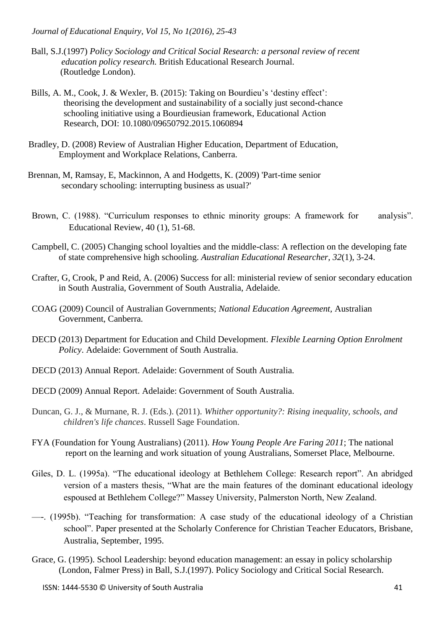- Ball, S.J.(1997) *Policy Sociology and Critical Social Research: a personal review of recent education policy research.* British Educational Research Journal. (Routledge London).
- Bills, A. M., Cook, J. & Wexler, B. (2015): Taking on Bourdieu's 'destiny effect': theorising the development and sustainability of a socially just second-chance schooling initiative using a Bourdieusian framework, Educational Action Research, DOI: 10.1080/09650792.2015.1060894
- Bradley, D. (2008) Review of Australian Higher Education, Department of Education, Employment and Workplace Relations, Canberra.
- Brennan, M, Ramsay, E, Mackinnon, A and Hodgetts, K. (2009) 'Part-time senior secondary schooling: interrupting business as usual?'
- Brown, C. (1988). "Curriculum responses to ethnic minority groups: A framework for analysis". Educational Review, 40 (1), 51-68.
- Campbell, C. (2005) Changing school loyalties and the middle-class: A reflection on the developing fate of state comprehensive high schooling. *Australian Educational Researcher, 32*(1), 3-24.
- Crafter, G, Crook, P and Reid, A. (2006) Success for all: ministerial review of senior secondary education in South Australia, Government of South Australia, Adelaide.
- COAG (2009) Council of Australian Governments; *National Education Agreement,* Australian Government, Canberra.
- DECD (2013) Department for Education and Child Development. *Flexible Learning Option Enrolment Policy*. Adelaide: Government of South Australia.
- DECD (2013) Annual Report. Adelaide: Government of South Australia.
- DECD (2009) Annual Report. Adelaide: Government of South Australia.
- Duncan, G. J., & Murnane, R. J. (Eds.). (2011). *Whither opportunity?: Rising inequality, schools, and children's life chances*. Russell Sage Foundation.
- FYA (Foundation for Young Australians) (2011). *How Young People Are Faring 2011*; The national report on the learning and work situation of young Australians, Somerset Place, Melbourne.
- Giles, D. L. (1995a). "The educational ideology at Bethlehem College: Research report". An abridged version of a masters thesis, "What are the main features of the dominant educational ideology espoused at Bethlehem College?" Massey University, Palmerston North, New Zealand.
- —-. (1995b). "Teaching for transformation: A case study of the educational ideology of a Christian school". Paper presented at the Scholarly Conference for Christian Teacher Educators, Brisbane, Australia, September, 1995.
- Grace, G. (1995). School Leadership: beyond education management: an essay in policy scholarship (London, Falmer Press) in Ball, S.J.(1997). Policy Sociology and Critical Social Research.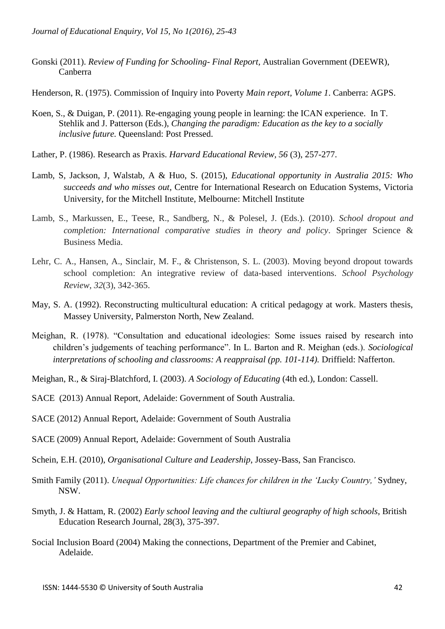- Gonski (2011). *Review of Funding for Schooling- Final Report,* Australian Government (DEEWR), Canberra
- Henderson, R. (1975). Commission of Inquiry into Poverty *Main report, Volume 1*. Canberra: AGPS.
- Koen, S., & Duigan, P. (2011). Re-engaging young people in learning: the ICAN experience. In T. Stehlik and J. Patterson (Eds.), *Changing the paradigm: Education as the key to a socially inclusive future.* Queensland: Post Pressed.
- Lather, P. (1986). Research as Praxis. *Harvard Educational Review, 56* (3), 257-277.
- Lamb, S, Jackson, J, Walstab, A & Huo, S. (2015), *Educational opportunity in Australia 2015: Who succeeds and who misses out*, Centre for International Research on Education Systems, Victoria University, for the Mitchell Institute, Melbourne: Mitchell Institute
- Lamb, S., Markussen, E., Teese, R., Sandberg, N., & Polesel, J. (Eds.). (2010). *School dropout and completion: International comparative studies in theory and policy*. Springer Science & Business Media.
- Lehr, C. A., Hansen, A., Sinclair, M. F., & Christenson, S. L. (2003). Moving beyond dropout towards school completion: An integrative review of data-based interventions. *School Psychology Review*, *32*(3), 342-365.
- May, S. A. (1992). Reconstructing multicultural education: A critical pedagogy at work. Masters thesis, Massey University, Palmerston North, New Zealand.
- Meighan, R. (1978). "Consultation and educational ideologies: Some issues raised by research into children's judgements of teaching performance". In L. Barton and R. Meighan (eds.). *Sociological interpretations of schooling and classrooms: A reappraisal (pp. 101-114).* Driffield: Nafferton.
- Meighan, R., & Siraj-Blatchford, I. (2003). *A Sociology of Educating* (4th ed.), London: Cassell.

SACE (2013) Annual Report, Adelaide: Government of South Australia.

- SACE (2012) Annual Report, Adelaide: Government of South Australia
- SACE (2009) Annual Report, Adelaide: Government of South Australia
- Schein, E.H. (2010), *Organisational Culture and Leadership*, Jossey-Bass, San Francisco.
- Smith Family (2011). *Unequal Opportunities: Life chances for children in the 'Lucky Country,'* Sydney, NSW.
- Smyth, J. & Hattam, R. (2002) *Early school leaving and the cultiural geography of high schools*, British Education Research Journal, 28(3), 375-397.
- Social Inclusion Board (2004) Making the connections, Department of the Premier and Cabinet, Adelaide.